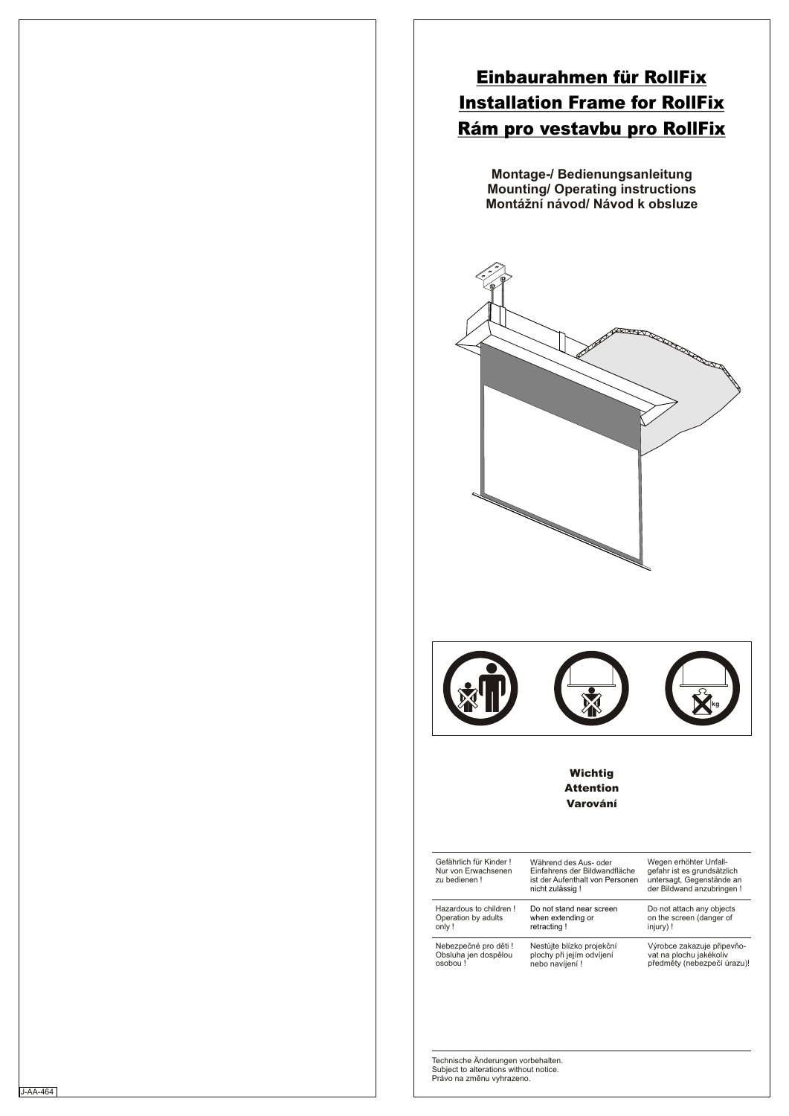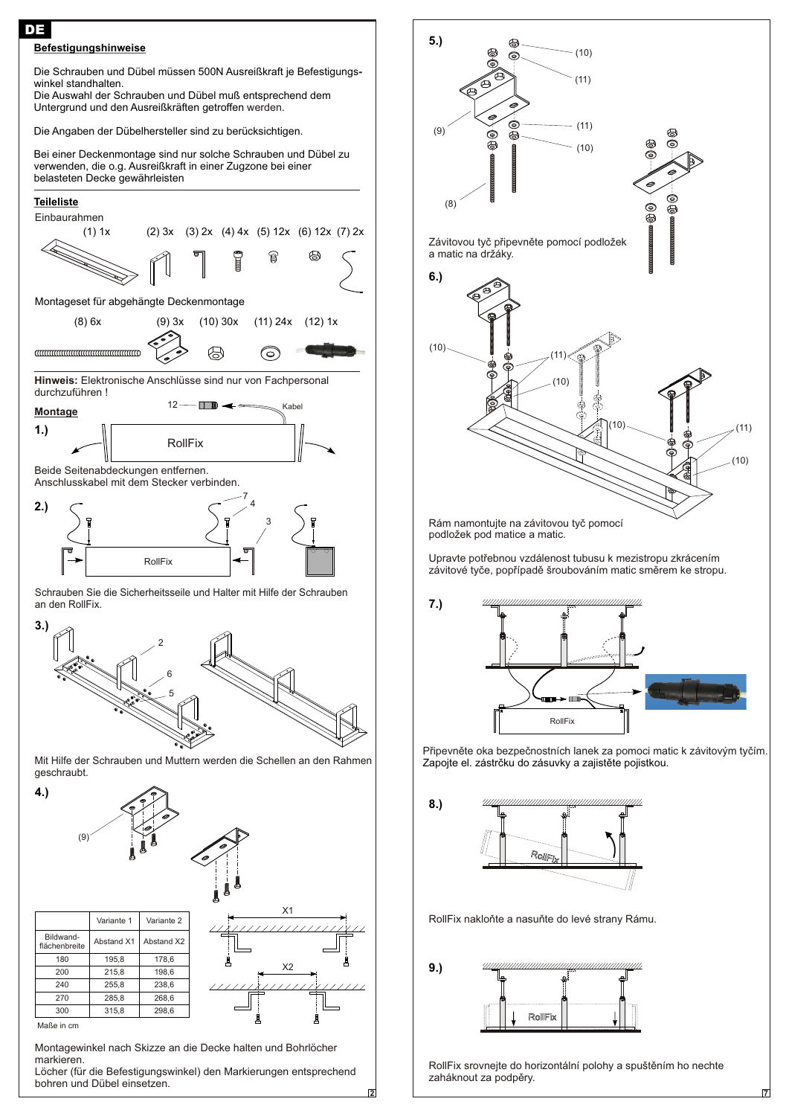



Montagewinkel nach Skizze an die Decke halten und Bohrlöcher markieren.

Löcher (für die Befestigungswinkel) den Markierungen entsprechend bohren und Dübel einsetzen.

**2**



Rám namontujte na závitovou tyč pomocí podložek pod matice a matic.

Upravte potřebnou vzdálenost tubusu k mezistropu zkrácením závitové tyče, popřípadě šroubováním matic směrem ke stropu.

**7.)**



Připevněte oka bezpečnostních lanek za pomoci matic k závitovým tyčím. Zapojte el. zástrčku do zásuvky a zajistěte pojistkou.



RollFix nakloňte a nasuňte do levé strany Rámu.



RollFix srovnejte do horizontální polohy a spuštěním ho nechte zaháknout za podpěry.

**7**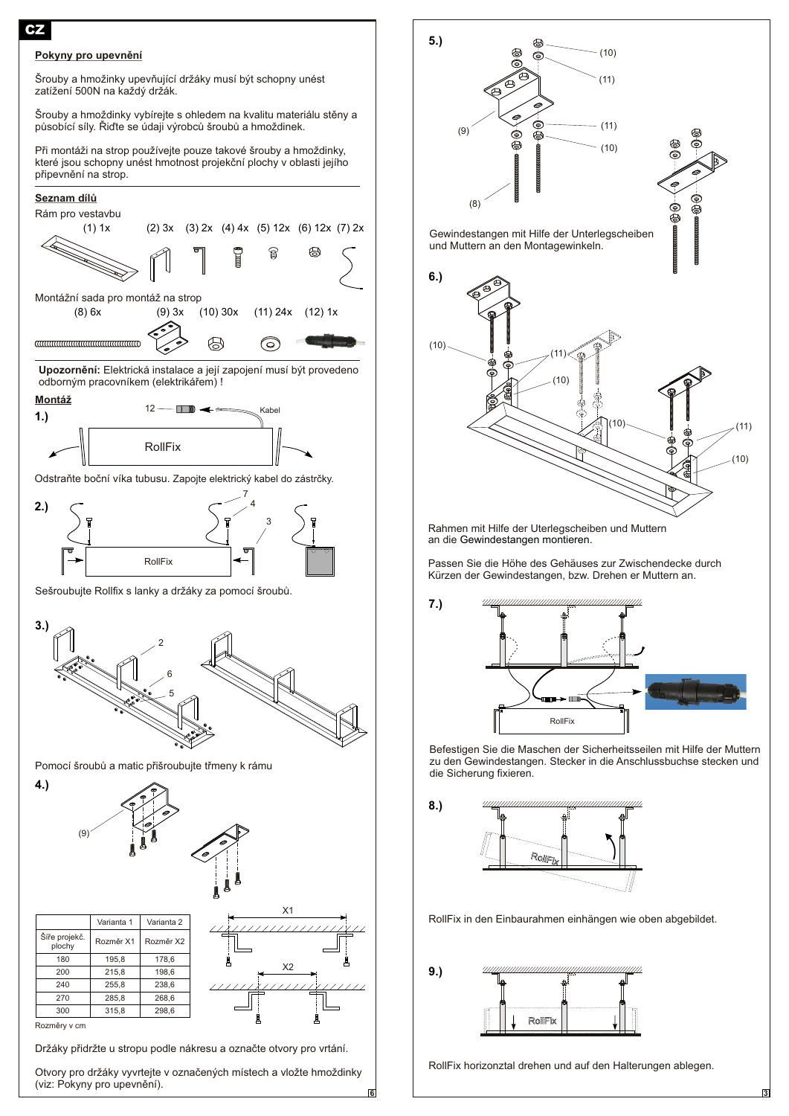## Pokyny pro upevnění

CZ

Šrouby a hmožinky upevňující držáky musí být schopny unést zatížení 500N na každý držák.

Šrouby a hmoždinky vybírejte s ohledem na kvalitu materiálu stěny a působící síly. Řiďte se údaji výrobců šroubů a hmoždinek.

Při montáži na strop používejte pouze takové šrouby a hmoždinky, které jsou schopny unést hmotnost projekèní plochy v oblasti jejího připevnění na strop.



(viz: Pokyny pro upevnění).



Rahmen mit Hilfe der Uterlegscheiben und Muttern an die Gewindestangen montieren.

Passen Sie die Höhe des Gehäuses zur Zwischendecke durch Kürzen der Gewindestangen, bzw. Drehen er Muttern an.



Befestigen Sie die Maschen der Sicherheitsseilen mit Hilfe der Muttern zu den Gewindestangen. Stecker in die Anschlussbuchse stecken und die Sicherung fixieren.



RollFix in den Einbaurahmen einhängen wie oben abgebildet.



**6**

RollFix horizonztal drehen und auf den Halterungen ablegen.

**3**